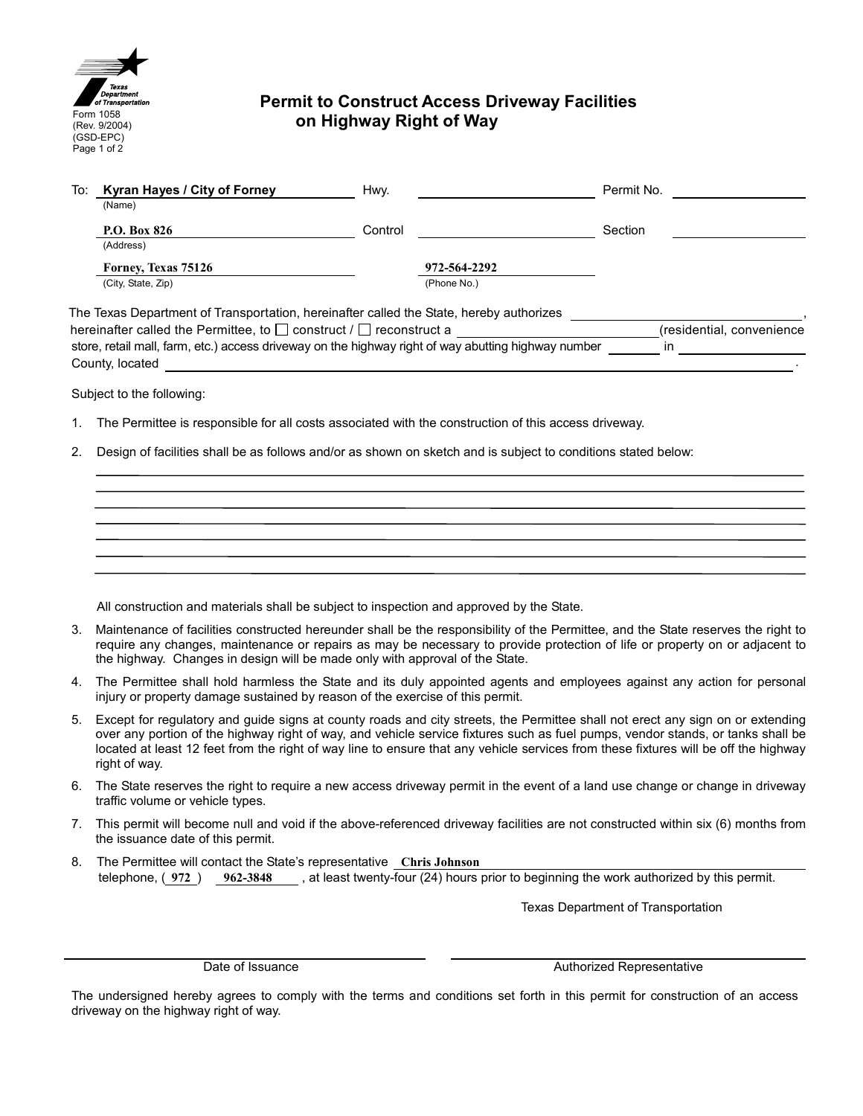

## **Permit to Construct Access Driveway Facilities on Highway Right of Way**

| To:                                                                                                 | Kyran Hayes / City of Forney | Hwy.    |              | Permit No. |                           |
|-----------------------------------------------------------------------------------------------------|------------------------------|---------|--------------|------------|---------------------------|
|                                                                                                     | (Name)                       |         |              |            |                           |
|                                                                                                     | P.O. Box 826                 | Control |              | Section    |                           |
|                                                                                                     | (Address)                    |         |              |            |                           |
|                                                                                                     | Forney, Texas 75126          |         | 972-564-2292 |            |                           |
|                                                                                                     | (City, State, Zip)           |         | (Phone No.)  |            |                           |
| The Texas Department of Transportation, hereinafter called the State, hereby authorizes             |                              |         |              |            |                           |
| hereinafter called the Permittee, to $\Box$ construct / $\Box$ reconstruct a                        |                              |         |              |            | (residential, convenience |
| store, retail mall, farm, etc.) access driveway on the highway right of way abutting highway number |                              |         |              |            | in                        |

Subject to the following:

County, located

- 1. The Permittee is responsible for all costs associated with the construction of this access driveway.
- 2. Design of facilities shall be as follows and/or as shown on sketch and is subject to conditions stated below:

All construction and materials shall be subject to inspection and approved by the State.

- 3. Maintenance of facilities constructed hereunder shall be the responsibility of the Permittee, and the State reserves the right to require any changes, maintenance or repairs as may be necessary to provide protection of life or property on or adjacent to the highway. Changes in design will be made only with approval of the State.
- 4. The Permittee shall hold harmless the State and its duly appointed agents and employees against any action for personal injury or property damage sustained by reason of the exercise of this permit.
- 5. Except for regulatory and guide signs at county roads and city streets, the Permittee shall not erect any sign on or extending over any portion of the highway right of way, and vehicle service fixtures such as fuel pumps, vendor stands, or tanks shall be located at least 12 feet from the right of way line to ensure that any vehicle services from these fixtures will be off the highway right of way.
- 6. The State reserves the right to require a new access driveway permit in the event of a land use change or change in driveway traffic volume or vehicle types.
- 7. This permit will become null and void if the above-referenced driveway facilities are not constructed within six (6) months from the issuance date of this permit.
- 8. The Permittee will contact the State's representative **Chris Johnson** telephone, ( **972** ) **962-3848** , at least twenty-four (24) hours prior to beginning the work authorized by this permit.

Texas Department of Transportation

Date of Issuance **Authorized Representative** Authorized Representative

The undersigned hereby agrees to comply with the terms and conditions set forth in this permit for construction of an access driveway on the highway right of way.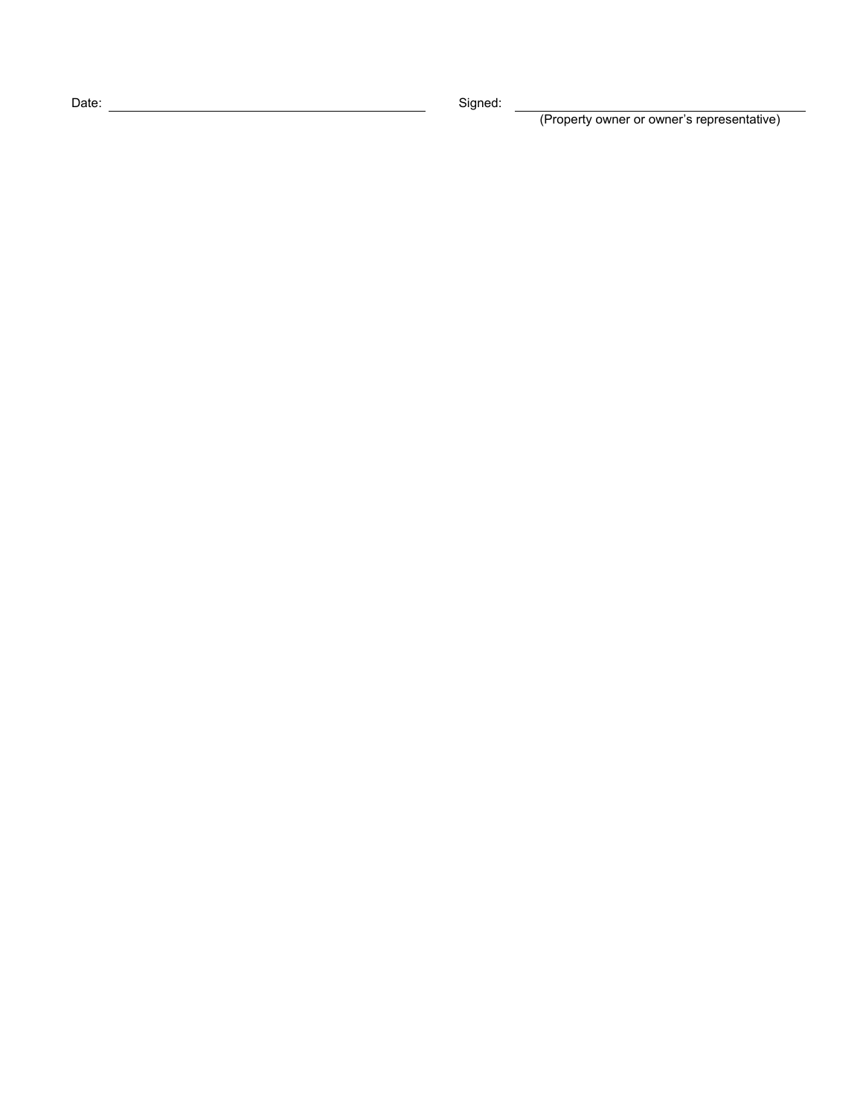Date: <u>Contact Contact Contact Contact Contact Contact Contact Contact Contact Contact Contact Contact Contact Contact Contact Contact Contact Contact Contact Contact Contact Contact Contact Contact Contact Contact Contact</u>

(Property owner or owner's representative)